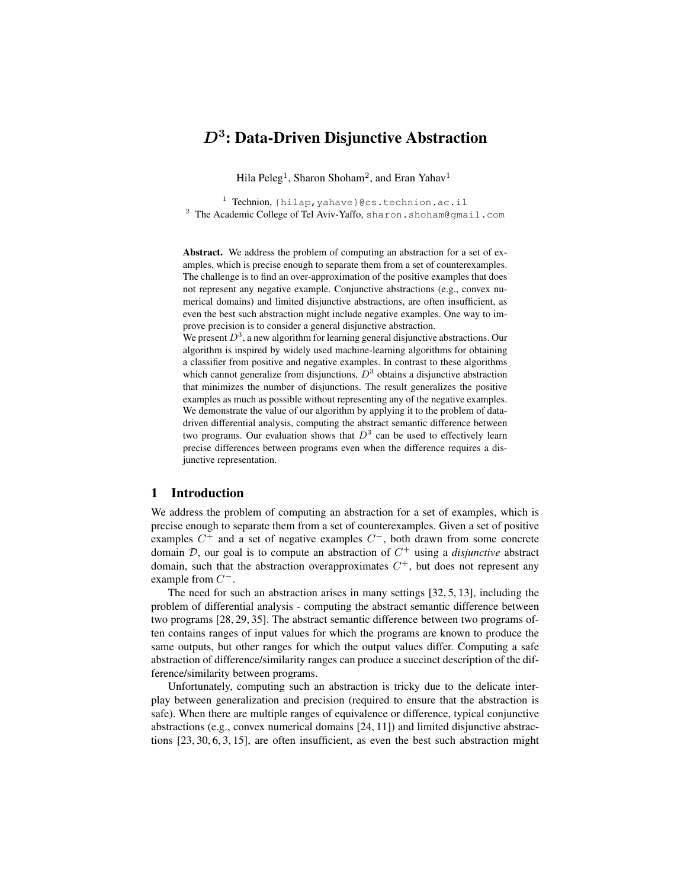# $D^3$ : Data-Driven Disjunctive Abstraction

Hila Peleg<sup>1</sup>, Sharon Shoham<sup>2</sup>, and Eran Yahav<sup>1</sup>

<sup>1</sup> Technion, {hilap,yahave}@cs.technion.ac.il <sup>2</sup> The Academic College of Tel Aviv-Yaffo, sharon.shoham@gmail.com

Abstract. We address the problem of computing an abstraction for a set of examples, which is precise enough to separate them from a set of counterexamples. The challenge is to find an over-approximation of the positive examples that does not represent any negative example. Conjunctive abstractions (e.g., convex numerical domains) and limited disjunctive abstractions, are often insufficient, as even the best such abstraction might include negative examples. One way to improve precision is to consider a general disjunctive abstraction.

We present  $D^3$ , a new algorithm for learning general disjunctive abstractions. Our algorithm is inspired by widely used machine-learning algorithms for obtaining a classifier from positive and negative examples. In contrast to these algorithms which cannot generalize from disjunctions,  $D^3$  obtains a disjunctive abstraction that minimizes the number of disjunctions. The result generalizes the positive examples as much as possible without representing any of the negative examples. We demonstrate the value of our algorithm by applying it to the problem of datadriven differential analysis, computing the abstract semantic difference between two programs. Our evaluation shows that  $D^3$  can be used to effectively learn precise differences between programs even when the difference requires a disjunctive representation.

# 1 Introduction

We address the problem of computing an abstraction for a set of examples, which is precise enough to separate them from a set of counterexamples. Given a set of positive examples  $C^+$  and a set of negative examples  $C^-$ , both drawn from some concrete domain  $D$ , our goal is to compute an abstraction of  $C^+$  using a *disjunctive* abstract domain, such that the abstraction overapproximates  $C^+$ , but does not represent any example from  $C^-$ .

The need for such an abstraction arises in many settings [32, 5, 13], including the problem of differential analysis - computing the abstract semantic difference between two programs [28, 29, 35]. The abstract semantic difference between two programs often contains ranges of input values for which the programs are known to produce the same outputs, but other ranges for which the output values differ. Computing a safe abstraction of difference/similarity ranges can produce a succinct description of the difference/similarity between programs.

Unfortunately, computing such an abstraction is tricky due to the delicate interplay between generalization and precision (required to ensure that the abstraction is safe). When there are multiple ranges of equivalence or difference, typical conjunctive abstractions (e.g., convex numerical domains [24, 11]) and limited disjunctive abstractions [23, 30, 6, 3, 15], are often insufficient, as even the best such abstraction might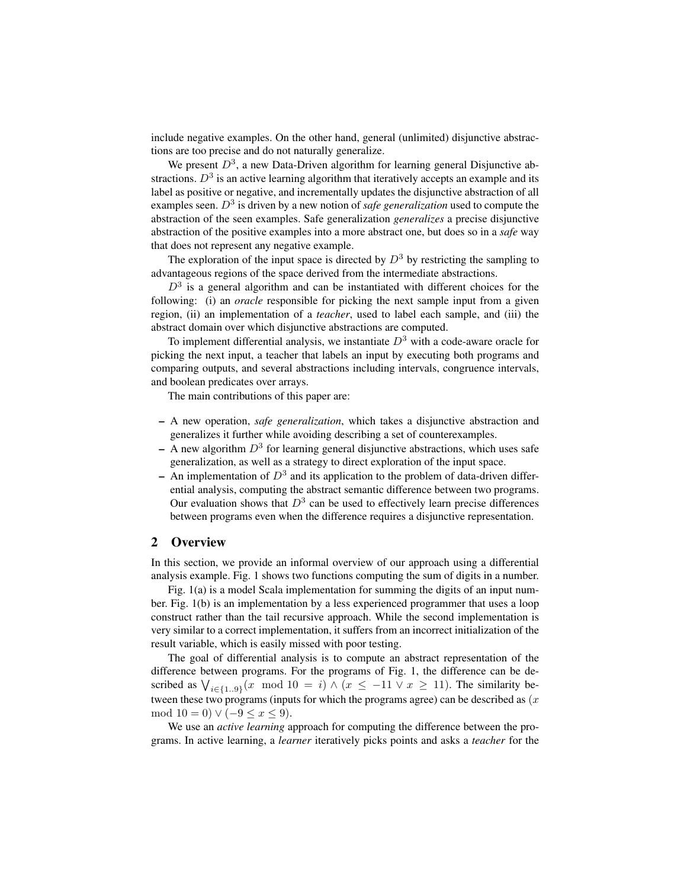include negative examples. On the other hand, general (unlimited) disjunctive abstractions are too precise and do not naturally generalize.

We present  $D^3$ , a new Data-Driven algorithm for learning general Disjunctive abstractions.  $D^3$  is an active learning algorithm that iteratively accepts an example and its label as positive or negative, and incrementally updates the disjunctive abstraction of all examples seen.  $D<sup>3</sup>$  is driven by a new notion of *safe generalization* used to compute the abstraction of the seen examples. Safe generalization *generalizes* a precise disjunctive abstraction of the positive examples into a more abstract one, but does so in a *safe* way that does not represent any negative example.

The exploration of the input space is directed by  $D^3$  by restricting the sampling to advantageous regions of the space derived from the intermediate abstractions.

 $D<sup>3</sup>$  is a general algorithm and can be instantiated with different choices for the following: (i) an *oracle* responsible for picking the next sample input from a given region, (ii) an implementation of a *teacher*, used to label each sample, and (iii) the abstract domain over which disjunctive abstractions are computed.

To implement differential analysis, we instantiate  $D<sup>3</sup>$  with a code-aware oracle for picking the next input, a teacher that labels an input by executing both programs and comparing outputs, and several abstractions including intervals, congruence intervals, and boolean predicates over arrays.

The main contributions of this paper are:

- A new operation, *safe generalization*, which takes a disjunctive abstraction and generalizes it further while avoiding describing a set of counterexamples.
- $-$  A new algorithm  $D<sup>3</sup>$  for learning general disjunctive abstractions, which uses safe generalization, as well as a strategy to direct exploration of the input space.
- An implementation of  $D^3$  and its application to the problem of data-driven differential analysis, computing the abstract semantic difference between two programs. Our evaluation shows that  $D^3$  can be used to effectively learn precise differences between programs even when the difference requires a disjunctive representation.

# 2 Overview

In this section, we provide an informal overview of our approach using a differential analysis example. Fig. 1 shows two functions computing the sum of digits in a number.

Fig. 1(a) is a model Scala implementation for summing the digits of an input number. Fig. 1(b) is an implementation by a less experienced programmer that uses a loop construct rather than the tail recursive approach. While the second implementation is very similar to a correct implementation, it suffers from an incorrect initialization of the result variable, which is easily missed with poor testing.

The goal of differential analysis is to compute an abstract representation of the difference between programs. For the programs of Fig. 1, the difference can be described as  $\bigvee_{i \in \{1..9\}} (x \mod 10 = i) \wedge (x \leq -11 \vee x \geq 11)$ . The similarity between these two programs (inputs for which the programs agree) can be described as  $(x)$ mod  $10 = 0$ )  $\vee (-9 \le x \le 9)$ .

We use an *active learning* approach for computing the difference between the programs. In active learning, a *learner* iteratively picks points and asks a *teacher* for the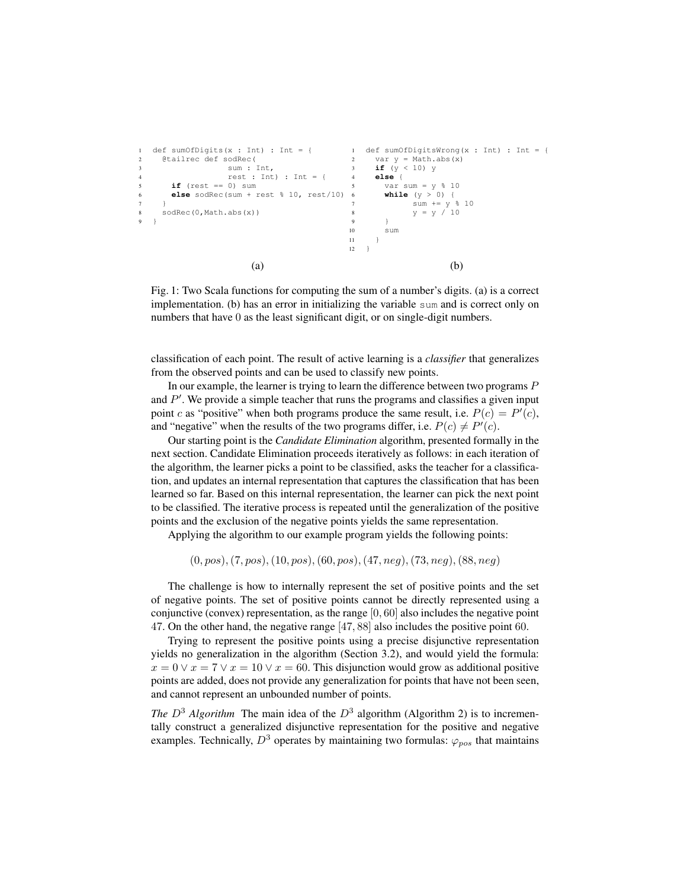```
1 def sumOfDigits(x : Int) : Int = {
2 @tailrec def sodRec(
3 sum : Int,
4 rest : Int) : Int = {
     if (rest == 0) sum
6 else sodRec(sum + rest % 10, rest/10)
7 }
8 sodRec(0,Math.abs(x))
9 }
                                    1 def sumOfDigitsWrong(x : Int) : Int = {
                                    2 var y = Math.abs(x)
                                    3 if (y < 10) y<br>4 else {
                                         4 else {
                                         5 var sum = y % 10
                                          6 while (y > 0) {
                                     7 sum += y % 10
8 y = y / 10
                                    9 }
                                    10 sum
                                    11 - 112 \}(a) (b)
```
Fig. 1: Two Scala functions for computing the sum of a number's digits. (a) is a correct implementation. (b) has an error in initializing the variable sum and is correct only on numbers that have 0 as the least significant digit, or on single-digit numbers.

classification of each point. The result of active learning is a *classifier* that generalizes from the observed points and can be used to classify new points.

In our example, the learner is trying to learn the difference between two programs P and  $P'$ . We provide a simple teacher that runs the programs and classifies a given input point c as "positive" when both programs produce the same result, i.e.  $P(c) = P'(c)$ , and "negative" when the results of the two programs differ, i.e.  $P(c) \neq P'(c)$ .

Our starting point is the *Candidate Elimination* algorithm, presented formally in the next section. Candidate Elimination proceeds iteratively as follows: in each iteration of the algorithm, the learner picks a point to be classified, asks the teacher for a classification, and updates an internal representation that captures the classification that has been learned so far. Based on this internal representation, the learner can pick the next point to be classified. The iterative process is repeated until the generalization of the positive points and the exclusion of the negative points yields the same representation.

Applying the algorithm to our example program yields the following points:

 $(0, pos), (7, pos), (10, pos), (60, pos), (47, neg), (73, neg), (88, neg)$ 

The challenge is how to internally represent the set of positive points and the set of negative points. The set of positive points cannot be directly represented using a conjunctive (convex) representation, as the range  $[0, 60]$  also includes the negative point 47. On the other hand, the negative range [47, 88] also includes the positive point 60.

Trying to represent the positive points using a precise disjunctive representation yields no generalization in the algorithm (Section 3.2), and would yield the formula:  $x = 0 \lor x = 7 \lor x = 10 \lor x = 60$ . This disjunction would grow as additional positive points are added, does not provide any generalization for points that have not been seen, and cannot represent an unbounded number of points.

*The*  $D^3$  *Algorithm* The main idea of the  $D^3$  algorithm (Algorithm 2) is to incrementally construct a generalized disjunctive representation for the positive and negative examples. Technically,  $D^3$  operates by maintaining two formulas:  $\varphi_{pos}$  that maintains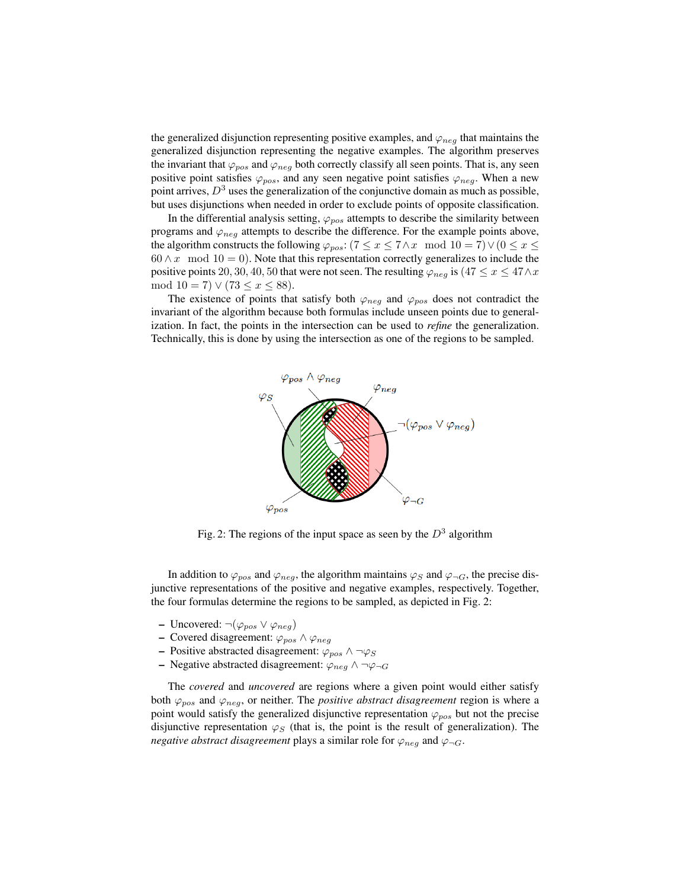the generalized disjunction representing positive examples, and  $\varphi_{neq}$  that maintains the generalized disjunction representing the negative examples. The algorithm preserves the invariant that  $\varphi_{pos}$  and  $\varphi_{neg}$  both correctly classify all seen points. That is, any seen positive point satisfies  $\varphi_{pos}$ , and any seen negative point satisfies  $\varphi_{neg}$ . When a new point arrives,  $D<sup>3</sup>$  uses the generalization of the conjunctive domain as much as possible, but uses disjunctions when needed in order to exclude points of opposite classification.

In the differential analysis setting,  $\varphi_{pos}$  attempts to describe the similarity between programs and  $\varphi_{neq}$  attempts to describe the difference. For the example points above, the algorithm constructs the following  $\varphi_{pos}$ : (7 ≤ x ≤ 7∧x mod 10 = 7)  $\vee$  (0 ≤ x ≤  $60 \wedge x \mod 10 = 0$ . Note that this representation correctly generalizes to include the positive points 20, 30, 40, 50 that were not seen. The resulting  $\varphi_{neq}$  is  $(47 \le x \le 47 \land x$ mod  $10 = 7$ )  $\vee$  (73  $\leq x \leq 88$ ).

The existence of points that satisfy both  $\varphi_{neg}$  and  $\varphi_{pos}$  does not contradict the invariant of the algorithm because both formulas include unseen points due to generalization. In fact, the points in the intersection can be used to *refine* the generalization. Technically, this is done by using the intersection as one of the regions to be sampled.



Fig. 2: The regions of the input space as seen by the  $D^3$  algorithm

In addition to  $\varphi_{pos}$  and  $\varphi_{neg}$ , the algorithm maintains  $\varphi_S$  and  $\varphi_{\neg G}$ , the precise disjunctive representations of the positive and negative examples, respectively. Together, the four formulas determine the regions to be sampled, as depicted in Fig. 2:

- Uncovered:  $\neg(\varphi_{pos} \lor \varphi_{neg})$
- Covered disagreement:  $\varphi_{pos} \land \varphi_{neg}$
- Positive abstracted disagreement:  $\varphi_{pos} \land \neg \varphi_S$
- Negative abstracted disagreement:  $\varphi_{neq} \wedge \neg \varphi_{\neg G}$

The *covered* and *uncovered* are regions where a given point would either satisfy both  $\varphi_{pos}$  and  $\varphi_{neg}$ , or neither. The *positive abstract disagreement* region is where a point would satisfy the generalized disjunctive representation  $\varphi_{pos}$  but not the precise disjunctive representation  $\varphi_S$  (that is, the point is the result of generalization). The *negative abstract disagreement* plays a similar role for  $\varphi_{neg}$  and  $\varphi_{\neg G}$ .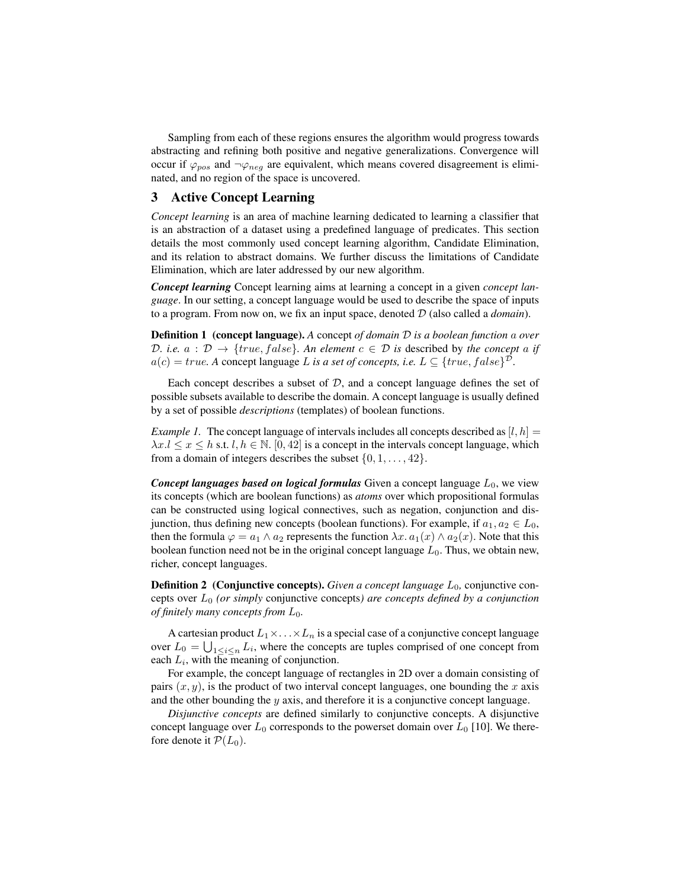Sampling from each of these regions ensures the algorithm would progress towards abstracting and refining both positive and negative generalizations. Convergence will occur if  $\varphi_{pos}$  and  $\neg \varphi_{neg}$  are equivalent, which means covered disagreement is eliminated, and no region of the space is uncovered.

# 3 Active Concept Learning

*Concept learning* is an area of machine learning dedicated to learning a classifier that is an abstraction of a dataset using a predefined language of predicates. This section details the most commonly used concept learning algorithm, Candidate Elimination, and its relation to abstract domains. We further discuss the limitations of Candidate Elimination, which are later addressed by our new algorithm.

*Concept learning* Concept learning aims at learning a concept in a given *concept language*. In our setting, a concept language would be used to describe the space of inputs to a program. From now on, we fix an input space, denoted D (also called a *domain*).

Definition 1 (concept language). *A* concept *of domain* D *is a boolean function* a *over* D. i.e.  $a : \mathcal{D} \to \{true, false\}$ . An element  $c \in \mathcal{D}$  is described by the concept a if  $a(c) = true$ . A concept language L is a set of concepts, i.e.  $L \subseteq \{true, false\}^{\mathcal{D}}$ .

Each concept describes a subset of  $D$ , and a concept language defines the set of possible subsets available to describe the domain. A concept language is usually defined by a set of possible *descriptions* (templates) of boolean functions.

*Example 1.* The concept language of intervals includes all concepts described as  $[l, h]$  =  $\lambda x.l \leq x \leq h$  s.t.  $l, h \in \mathbb{N}$ . [0, 42] is a concept in the intervals concept language, which from a domain of integers describes the subset  $\{0, 1, \ldots, 42\}$ .

**Concept languages based on logical formulas** Given a concept language  $L_0$ , we view its concepts (which are boolean functions) as *atoms* over which propositional formulas can be constructed using logical connectives, such as negation, conjunction and disjunction, thus defining new concepts (boolean functions). For example, if  $a_1, a_2 \in L_0$ , then the formula  $\varphi = a_1 \wedge a_2$  represents the function  $\lambda x. a_1(x) \wedge a_2(x)$ . Note that this boolean function need not be in the original concept language  $L_0$ . Thus, we obtain new, richer, concept languages.

**Definition 2** (Conjunctive concepts). *Given a concept language*  $L_0$ , conjunctive concepts over L<sup>0</sup> *(or simply* conjunctive concepts*) are concepts defined by a conjunction of finitely many concepts from* L0*.*

A cartesian product  $L_1 \times \ldots \times L_n$  is a special case of a conjunctive concept language over  $L_0 = \bigcup_{1 \leq i \leq n} L_i$ , where the concepts are tuples comprised of one concept from each  $L_i$ , with the meaning of conjunction.

For example, the concept language of rectangles in 2D over a domain consisting of pairs  $(x, y)$ , is the product of two interval concept languages, one bounding the x axis and the other bounding the  $y$  axis, and therefore it is a conjunctive concept language.

*Disjunctive concepts* are defined similarly to conjunctive concepts. A disjunctive concept language over  $L_0$  corresponds to the powerset domain over  $L_0$  [10]. We therefore denote it  $\mathcal{P}(L_0)$ .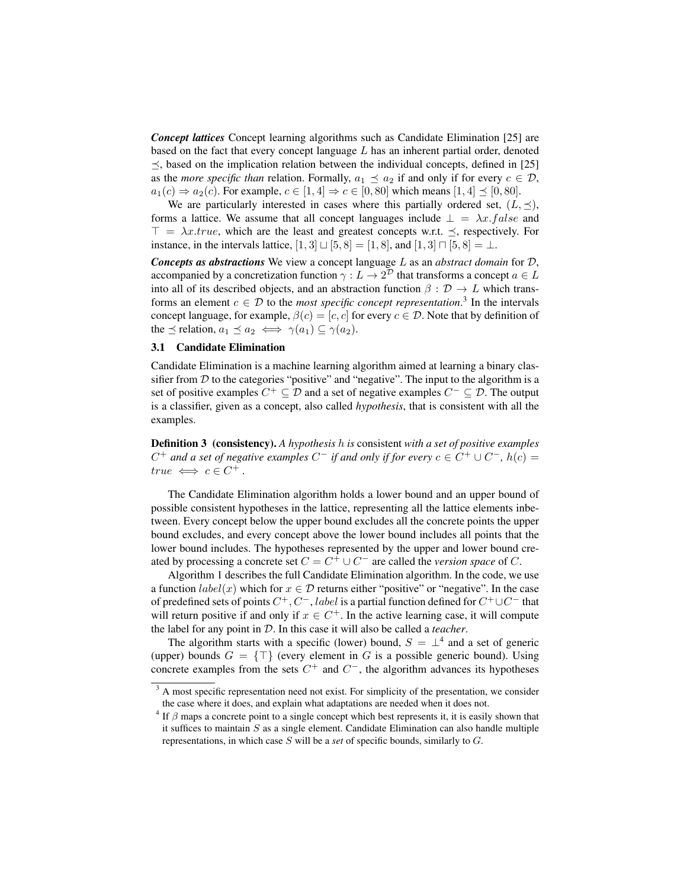*Concept lattices* Concept learning algorithms such as Candidate Elimination [25] are based on the fact that every concept language  $L$  has an inherent partial order, denoted  $\preceq$ , based on the implication relation between the individual concepts, defined in [25] as the *more specific than* relation. Formally,  $a_1 \preceq a_2$  if and only if for every  $c \in \mathcal{D}$ ,  $a_1(c) \Rightarrow a_2(c)$ . For example,  $c \in [1, 4] \Rightarrow c \in [0, 80]$  which means  $[1, 4] \preceq [0, 80]$ .

We are particularly interested in cases where this partially ordered set,  $(L, \preceq)$ , forms a lattice. We assume that all concept languages include  $\perp = \lambda x.false$  and  $\top = \lambda x. true$ , which are the least and greatest concepts w.r.t.  $\preceq$ , respectively. For instance, in the intervals lattice,  $[1, 3] \sqcup [5, 8] = [1, 8]$ , and  $[1, 3] \sqcap [5, 8] = \bot$ .

*Concepts as abstractions* We view a concept language L as an *abstract domain* for D, accompanied by a concretization function  $\gamma: L \to 2^{\mathcal{D}}$  that transforms a concept  $a \in L$ into all of its described objects, and an abstraction function  $\beta : \mathcal{D} \to L$  which transforms an element  $c \in \mathcal{D}$  to the *most specific concept representation*.<sup>3</sup> In the intervals concept language, for example,  $\beta(c) = [c, c]$  for every  $c \in \mathcal{D}$ . Note that by definition of the  $\preceq$  relation,  $a_1 \preceq a_2 \iff \gamma(a_1) \subseteq \gamma(a_2)$ .

#### 3.1 Candidate Elimination

Candidate Elimination is a machine learning algorithm aimed at learning a binary classifier from  $D$  to the categories "positive" and "negative". The input to the algorithm is a set of positive examples  $C^+ \subseteq \mathcal{D}$  and a set of negative examples  $C^- \subseteq \mathcal{D}$ . The output is a classifier, given as a concept, also called *hypothesis*, that is consistent with all the examples.

Definition 3 (consistency). *A hypothesis* h *is* consistent *with a set of positive examples*  $C^+$  and a set of negative examples  $C^-$  if and only if for every  $c \in C^+ \cup C^-$ ,  $h(c) =$  $true \iff c \in C^+$ .

The Candidate Elimination algorithm holds a lower bound and an upper bound of possible consistent hypotheses in the lattice, representing all the lattice elements inbetween. Every concept below the upper bound excludes all the concrete points the upper bound excludes, and every concept above the lower bound includes all points that the lower bound includes. The hypotheses represented by the upper and lower bound created by processing a concrete set  $C = C^+ \cup C^-$  are called the *version space* of C.

Algorithm 1 describes the full Candidate Elimination algorithm. In the code, we use a function  $label(x)$  which for  $x \in \mathcal{D}$  returns either "positive" or "negative". In the case of predefined sets of points  $C^+, C^-,$  label is a partial function defined for  $C^+ \cup C^-$  that will return positive if and only if  $x \in C^+$ . In the active learning case, it will compute the label for any point in D. In this case it will also be called a *teacher*.

The algorithm starts with a specific (lower) bound,  $S = \perp^4$  and a set of generic (upper) bounds  $G = \{\top\}$  (every element in G is a possible generic bound). Using concrete examples from the sets  $C^+$  and  $C^-$ , the algorithm advances its hypotheses

<sup>&</sup>lt;sup>3</sup> A most specific representation need not exist. For simplicity of the presentation, we consider the case where it does, and explain what adaptations are needed when it does not.

 $4$  If  $\beta$  maps a concrete point to a single concept which best represents it, it is easily shown that it suffices to maintain  $S$  as a single element. Candidate Elimination can also handle multiple representations, in which case S will be a *set* of specific bounds, similarly to G.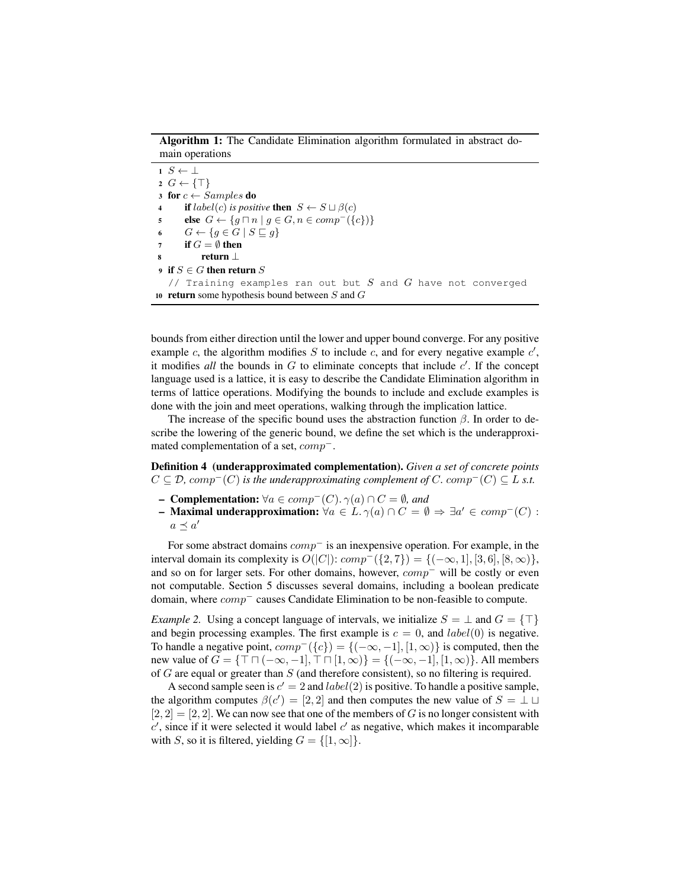Algorithm 1: The Candidate Elimination algorithm formulated in abstract domain operations

1  $S \leftarrow \perp$  $2 G \leftarrow \{\top\}$ 3 for  $c \leftarrow Samples$  do 4 **if**  $label(c)$  *is positive* **then**  $S \leftarrow S \sqcup \beta(c)$ 5 **else**  $G \leftarrow \{ g \sqcap n \mid g \in G, n \in comp^{-}(\{c\})\}$ 6  $G \leftarrow \{g \in G \mid S \sqsubseteq g\}$ 7 if  $G = \emptyset$  then return ⊥ 9 if  $S \in G$  then return  $S$ // Training examples ran out but  $S$  and  $G$  have not converged 10 return some hypothesis bound between  $S$  and  $G$ 

bounds from either direction until the lower and upper bound converge. For any positive example  $c$ , the algorithm modifies  $S$  to include  $c$ , and for every negative example  $c'$ , it modifies *all* the bounds in  $G$  to eliminate concepts that include  $c'$ . If the concept language used is a lattice, it is easy to describe the Candidate Elimination algorithm in terms of lattice operations. Modifying the bounds to include and exclude examples is done with the join and meet operations, walking through the implication lattice.

The increase of the specific bound uses the abstraction function  $\beta$ . In order to describe the lowering of the generic bound, we define the set which is the underapproximated complementation of a set, comp<sup>−</sup>.

Definition 4 (underapproximated complementation). *Given a set of concrete points*  $C \subseteq \mathcal{D}$ ,  $comp^{-}(C)$  *is the underapproximating complement of* C*. comp<sup>-</sup>*(C)  $\subseteq L$  *s.t.* 

- Complementation: ∀a ∈ comp<sup>−</sup>(C). γ(a) ∩ C = ∅*, and*
- **Maximal underapproximation:**  $\forall a \in L. \gamma(a) \cap C = \emptyset \Rightarrow \exists a' \in comp^{-}(C)$ :  $a \preceq a'$

For some abstract domains  $comp^-$  is an inexpensive operation. For example, in the interval domain its complexity is  $O(|C|)$ :  $comp^{-}(\{2, 7\}) = {(-\infty, 1], [3, 6], [8, \infty)\},$ and so on for larger sets. For other domains, however, comp<sup>−</sup> will be costly or even not computable. Section 5 discusses several domains, including a boolean predicate domain, where comp<sup>−</sup> causes Candidate Elimination to be non-feasible to compute.

*Example 2.* Using a concept language of intervals, we initialize  $S = \perp$  and  $G = \{\top\}$ and begin processing examples. The first example is  $c = 0$ , and  $label(0)$  is negative. To handle a negative point,  $comp^{-}(\lbrace c \rbrace) = \lbrace (-\infty, -1], [1, \infty) \rbrace$  is computed, then the new value of  $G = \{\top \sqcap (-\infty, -1], \top \sqcap [1, \infty)\} = \{(-\infty, -1], [1, \infty)\}\)$ . All members of  $G$  are equal or greater than  $S$  (and therefore consistent), so no filtering is required.

A second sample seen is  $c' = 2$  and  $label(2)$  is positive. To handle a positive sample, the algorithm computes  $\beta(c') = [2, 2]$  and then computes the new value of  $S = \bot \sqcup$  $[2, 2] = [2, 2]$ . We can now see that one of the members of G is no longer consistent with  $c'$ , since if it were selected it would label  $c'$  as negative, which makes it incomparable with S, so it is filtered, yielding  $G = \{ [1, \infty] \}.$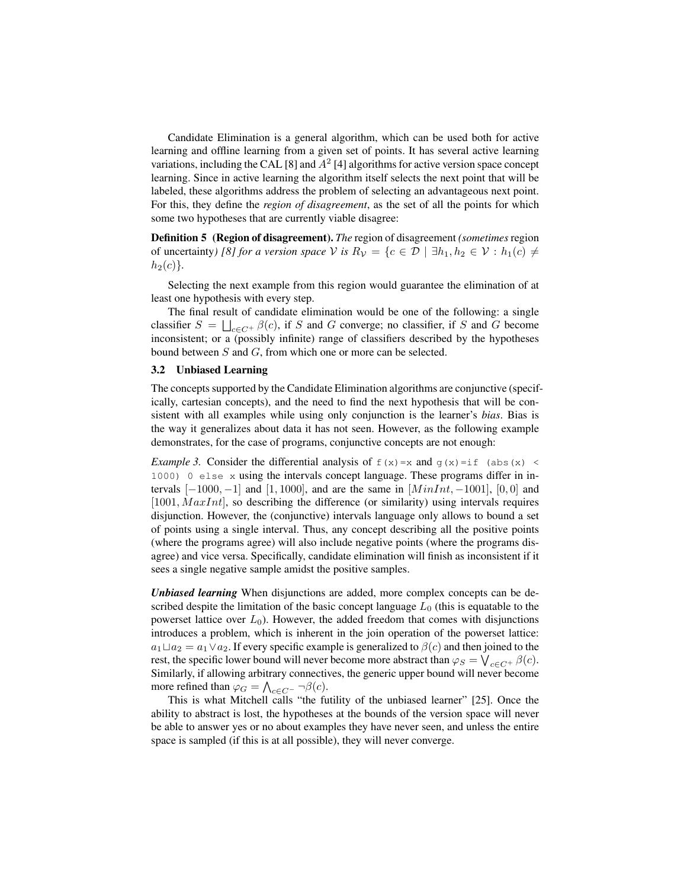Candidate Elimination is a general algorithm, which can be used both for active learning and offline learning from a given set of points. It has several active learning variations, including the CAL [8] and  $A^2$  [4] algorithms for active version space concept learning. Since in active learning the algorithm itself selects the next point that will be labeled, these algorithms address the problem of selecting an advantageous next point. For this, they define the *region of disagreement*, as the set of all the points for which some two hypotheses that are currently viable disagree:

Definition 5 (Region of disagreement). *The* region of disagreement *(sometimes*region of uncertainty*)* [8] for a version space V is  $R_V = \{c \in \mathcal{D} \mid \exists h_1, h_2 \in V : h_1(c) \neq$  $h_2(c)$ .

Selecting the next example from this region would guarantee the elimination of at least one hypothesis with every step.

The final result of candidate elimination would be one of the following: a single classifier  $S = \bigsqcup_{c \in C^+} \beta(c)$ , if S and G converge; no classifier, if S and G become inconsistent; or a (possibly infinite) range of classifiers described by the hypotheses bound between S and G, from which one or more can be selected.

#### 3.2 Unbiased Learning

The concepts supported by the Candidate Elimination algorithms are conjunctive (specifically, cartesian concepts), and the need to find the next hypothesis that will be consistent with all examples while using only conjunction is the learner's *bias*. Bias is the way it generalizes about data it has not seen. However, as the following example demonstrates, for the case of programs, conjunctive concepts are not enough:

*Example 3.* Consider the differential analysis of  $f(x)=x$  and  $g(x)=if$  (abs(x) < 1000) 0 else x using the intervals concept language. These programs differ in intervals  $[-1000, -1]$  and  $[1, 1000]$ , and are the same in  $[MinInt, -1001]$ ,  $[0, 0]$  and  $[1001, \text{MaxInt}]$ , so describing the difference (or similarity) using intervals requires disjunction. However, the (conjunctive) intervals language only allows to bound a set of points using a single interval. Thus, any concept describing all the positive points (where the programs agree) will also include negative points (where the programs disagree) and vice versa. Specifically, candidate elimination will finish as inconsistent if it sees a single negative sample amidst the positive samples.

*Unbiased learning* When disjunctions are added, more complex concepts can be described despite the limitation of the basic concept language  $L_0$  (this is equatable to the powerset lattice over  $L_0$ ). However, the added freedom that comes with disjunctions introduces a problem, which is inherent in the join operation of the powerset lattice:  $a_1 \sqcup a_2 = a_1 \vee a_2$ . If every specific example is generalized to  $\beta(c)$  and then joined to the rest, the specific lower bound will never become more abstract than  $\varphi_S = \bigvee_{c \in C^+} \beta(c)$ . Similarly, if allowing arbitrary connectives, the generic upper bound will never become more refined than  $\varphi_G = \bigwedge_{c \in C^-} \neg \beta(c)$ .

This is what Mitchell calls "the futility of the unbiased learner" [25]. Once the ability to abstract is lost, the hypotheses at the bounds of the version space will never be able to answer yes or no about examples they have never seen, and unless the entire space is sampled (if this is at all possible), they will never converge.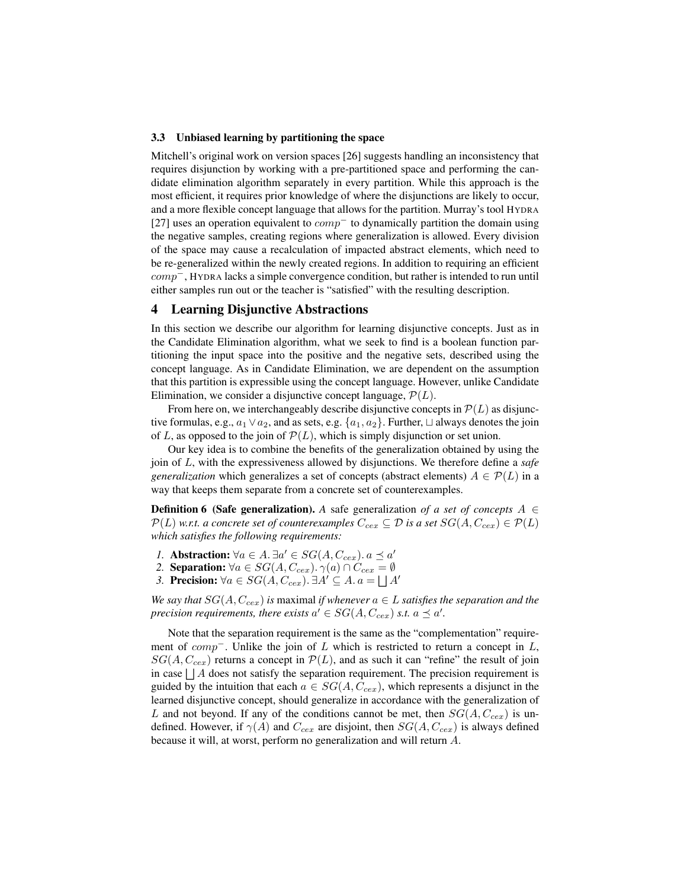#### 3.3 Unbiased learning by partitioning the space

Mitchell's original work on version spaces [26] suggests handling an inconsistency that requires disjunction by working with a pre-partitioned space and performing the candidate elimination algorithm separately in every partition. While this approach is the most efficient, it requires prior knowledge of where the disjunctions are likely to occur, and a more flexible concept language that allows for the partition. Murray's tool HYDRA [27] uses an operation equivalent to  $comp<sup>-</sup>$  to dynamically partition the domain using the negative samples, creating regions where generalization is allowed. Every division of the space may cause a recalculation of impacted abstract elements, which need to be re-generalized within the newly created regions. In addition to requiring an efficient comp−, HYDRA lacks a simple convergence condition, but rather is intended to run until either samples run out or the teacher is "satisfied" with the resulting description.

## 4 Learning Disjunctive Abstractions

In this section we describe our algorithm for learning disjunctive concepts. Just as in the Candidate Elimination algorithm, what we seek to find is a boolean function partitioning the input space into the positive and the negative sets, described using the concept language. As in Candidate Elimination, we are dependent on the assumption that this partition is expressible using the concept language. However, unlike Candidate Elimination, we consider a disjunctive concept language,  $\mathcal{P}(L)$ .

From here on, we interchangeably describe disjunctive concepts in  $\mathcal{P}(L)$  as disjunctive formulas, e.g.,  $a_1 \vee a_2$ , and as sets, e.g.  $\{a_1, a_2\}$ . Further,  $\sqcup$  always denotes the join of L, as opposed to the join of  $P(L)$ , which is simply disjunction or set union.

Our key idea is to combine the benefits of the generalization obtained by using the join of L, with the expressiveness allowed by disjunctions. We therefore define a *safe generalization* which generalizes a set of concepts (abstract elements)  $A \in \mathcal{P}(L)$  in a way that keeps them separate from a concrete set of counterexamples.

**Definition 6 (Safe generalization).** A safe generalization of a set of concepts  $A \in$  $\mathcal{P}(L)$  *w.r.t. a concrete set of counterexamples*  $C_{cex} \subseteq \mathcal{D}$  *is a set*  $SG(A, C_{cex}) \in \mathcal{P}(L)$ *which satisfies the following requirements:*

- *1.* Abstraction:  $\forall a \in A$ .  $\exists a' \in SG(A, C_{cex})$ .  $a \preceq a'$
- 2. **Separation:**  $\forall a \in SG(A, C_{cex})$ .  $\gamma(a) \cap C_{cex} = \emptyset$
- *3.* Precision:  $\forall a \in SG(A, C_{cex})$ . ∃ $A' \subseteq A$ .  $a = \bigsqcup A'$

*We say that*  $SG(A, C_{cex})$  *is* maximal *if whenever*  $a \in L$  *satisfies the separation and the precision requirements, there exists*  $a' \in SG(A, C_{cex})$  *s.t.*  $a \preceq a'$ .

Note that the separation requirement is the same as the "complementation" requirement of  $comp^-$ . Unlike the join of L which is restricted to return a concept in L,  $SG(A, C_{cex})$  returns a concept in  $\mathcal{P}(L)$ , and as such it can "refine" the result of join in case  $\Box A$  does not satisfy the separation requirement. The precision requirement is guided by the intuition that each  $a \in SG(A, C_{cex})$ , which represents a disjunct in the learned disjunctive concept, should generalize in accordance with the generalization of L and not beyond. If any of the conditions cannot be met, then  $SG(A, C_{cex})$  is undefined. However, if  $\gamma(A)$  and  $C_{cex}$  are disjoint, then  $SG(A, C_{cex})$  is always defined because it will, at worst, perform no generalization and will return A.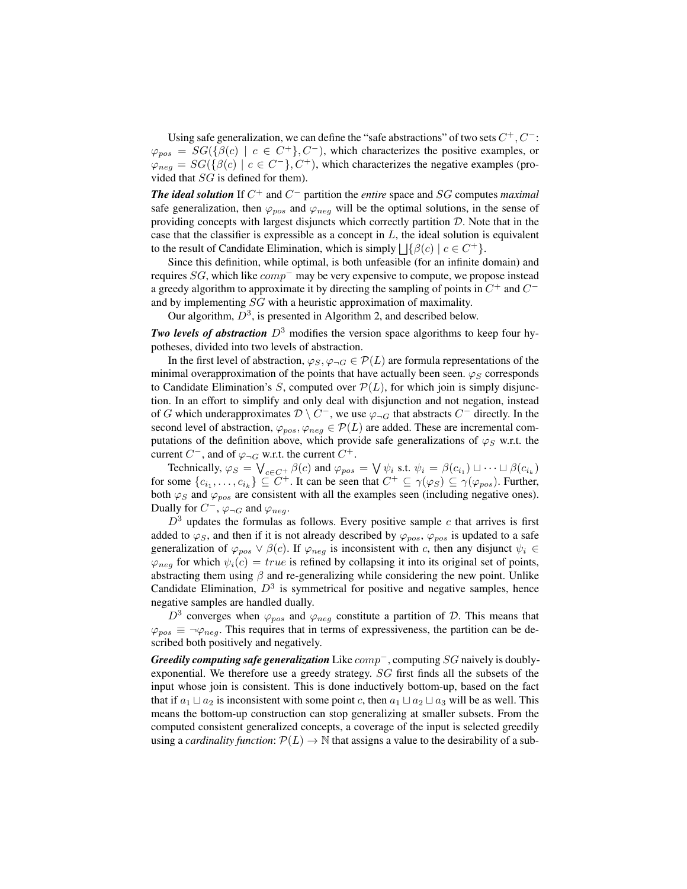Using safe generalization, we can define the "safe abstractions" of two sets  $C^+, C^-$ :  $\varphi_{pos} = SG({\beta(c) | c \in C^+}, C^-),$  which characterizes the positive examples, or  $\varphi_{neg} = SG(\{\beta(c) \mid c \in C^{-}\}, C^{+})$ , which characterizes the negative examples (provided that SG is defined for them).

*The ideal solution* If C <sup>+</sup> and C <sup>−</sup> partition the *entire* space and SG computes *maximal* safe generalization, then  $\varphi_{pos}$  and  $\varphi_{neg}$  will be the optimal solutions, in the sense of providing concepts with largest disjuncts which correctly partition  $D$ . Note that in the case that the classifier is expressible as a concept in  $L$ , the ideal solution is equivalent to the result of Candidate Elimination, which is simply  $\Box \{\beta(c) \mid c \in C^+\}.$ 

Since this definition, while optimal, is both unfeasible (for an infinite domain) and requires  $SG$ , which like  $comp<sup>-</sup>$  may be very expensive to compute, we propose instead a greedy algorithm to approximate it by directing the sampling of points in  $C^+$  and  $C^$ and by implementing SG with a heuristic approximation of maximality.

Our algorithm,  $D^3$ , is presented in Algorithm 2, and described below.

*Two levels of abstraction*  $D^3$  modifies the version space algorithms to keep four hypotheses, divided into two levels of abstraction.

In the first level of abstraction,  $\varphi_S, \varphi_{\neg G} \in \mathcal{P}(L)$  are formula representations of the minimal overapproximation of the points that have actually been seen.  $\varphi_S$  corresponds to Candidate Elimination's S, computed over  $\mathcal{P}(L)$ , for which join is simply disjunction. In an effort to simplify and only deal with disjunction and not negation, instead of G which underapproximates  $\mathcal{D} \setminus C^{\perp}$ , we use  $\varphi_{\neg G}$  that abstracts  $C^{\perp}$  directly. In the second level of abstraction,  $\varphi_{pos}, \varphi_{neg} \in \mathcal{P}(L)$  are added. These are incremental computations of the definition above, which provide safe generalizations of  $\varphi_S$  w.r.t. the current  $C^-$ , and of  $\varphi_{\neg G}$  w.r.t. the current  $C^+$ .

Technically,  $\varphi_S = \bigvee_{c \in C^+} \beta(c)$  and  $\varphi_{pos} = \bigvee \psi_i$  s.t.  $\psi_i = \beta(c_{i_1}) \sqcup \dots \sqcup \beta(c_{i_k})$ for some  $\{c_{i_1},\ldots,c_{i_k}\}\subseteq C^+$ . It can be seen that  $C^+\subseteq \gamma(\varphi_S)\subseteq \gamma(\varphi_{pos})$ . Further, both  $\varphi_S$  and  $\varphi_{pos}$  are consistent with all the examples seen (including negative ones). Dually for  $C^{-}$ ,  $\varphi_{\neg G}$  and  $\varphi_{neg}$ .

 $D<sup>3</sup>$  updates the formulas as follows. Every positive sample c that arrives is first added to  $\varphi$ <sub>S</sub>, and then if it is not already described by  $\varphi_{pos}$ ,  $\varphi_{pos}$  is updated to a safe generalization of  $\varphi_{pos} \vee \beta(c)$ . If  $\varphi_{neg}$  is inconsistent with c, then any disjunct  $\psi_i \in$  $\varphi_{neg}$  for which  $\psi_i(c) = true$  is refined by collapsing it into its original set of points, abstracting them using  $\beta$  and re-generalizing while considering the new point. Unlike Candidate Elimination,  $D^3$  is symmetrical for positive and negative samples, hence negative samples are handled dually.

 $D^3$  converges when  $\varphi_{pos}$  and  $\varphi_{neg}$  constitute a partition of D. This means that  $\varphi_{pos} \equiv \neg \varphi_{neg}$ . This requires that in terms of expressiveness, the partition can be described both positively and negatively.

*Greedily computing safe generalization* Like comp<sup>−</sup>, computing SG naively is doublyexponential. We therefore use a greedy strategy. SG first finds all the subsets of the input whose join is consistent. This is done inductively bottom-up, based on the fact that if  $a_1 \sqcup a_2$  is inconsistent with some point c, then  $a_1 \sqcup a_2 \sqcup a_3$  will be as well. This means the bottom-up construction can stop generalizing at smaller subsets. From the computed consistent generalized concepts, a coverage of the input is selected greedily using a *cardinality function*:  $\mathcal{P}(L) \to \mathbb{N}$  that assigns a value to the desirability of a sub-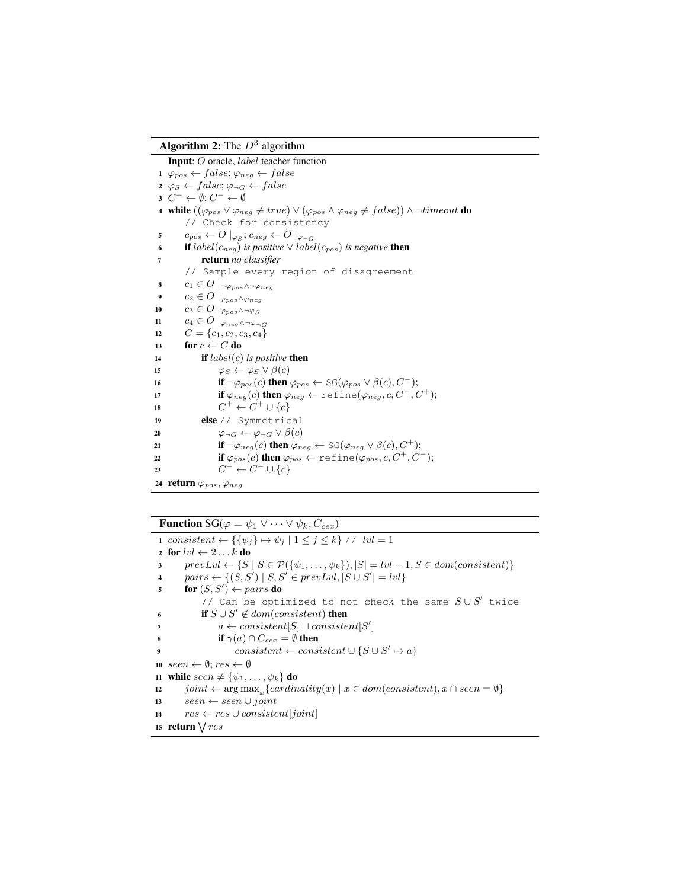**Algorithm 2:** The  $D^3$  algorithm

Input: O oracle, label teacher function 1  $\varphi_{pos} \leftarrow false; \varphi_{neg} \leftarrow false$  $2 \varphi_S \leftarrow false; \varphi_{\neg G} \leftarrow false$  $3 \, C^+ \leftarrow \emptyset; C^- \leftarrow \emptyset$ 4 while  $((\varphi_{pos} \vee \varphi_{neg} \not\equiv true) \vee (\varphi_{pos} \wedge \varphi_{neg} \not\equiv false)) \wedge \neg timeout$  do // Check for consistency 5  $c_{pos} \leftarrow O \mid_{\varphi_S}; c_{neg} \leftarrow O \mid_{\varphi_{\neg G}}$ 6 **if**  $label(c_{neg})$  *is positive*  $\vee$   $label(c_{pos})$  *is negative* **then** <sup>7</sup> return *no classifier* // Sample every region of disagreement 8  $c_1 \in O$   $\vert \neg \varphi_{pos} \land \neg \varphi_{neg}$ 9  $c_2 \in O$   $|_{\varphi_{pos} \wedge \varphi_{neg}}$ 10  $c_3 \in O$   $|_{\varphi_{pos} \wedge \neg \varphi_S}$ 11  $c_4 \in O \mid_{\varphi_{neq} \wedge \neg \varphi_{\neg G}}$ 12  $C = \{c_1, c_2, c_3, c_4\}$ 13 for  $c \leftarrow C$  do <sup>14</sup> if label(c) *is positive* then 15  $\varphi_S \leftarrow \varphi_S \vee \beta(c)$ 16 if  $\neg \varphi_{pos}(c)$  then  $\varphi_{pos} \leftarrow \text{SG}(\varphi_{pos} \vee \beta(c), C^{-})$ ; 17 if  $\varphi_{neg}(c)$  then  $\varphi_{neg} \leftarrow \text{refine}(\varphi_{neg}, c, C^-, C^+);$ 18  $C^+ \leftarrow C^+ \cup \{c\}$ <sup>19</sup> else // Symmetrical 20  $\varphi \lnot G \leftarrow \varphi \lnot G \lor \beta(c)$ 21 **if**  $\neg \varphi_{neg}(c)$  then  $\varphi_{neg} \leftarrow \text{SG}(\varphi_{neg} \vee \beta(c), C^+);$ 22 if  $\varphi_{pos}(c)$  then  $\varphi_{pos} \leftarrow \text{refine}(\varphi_{pos}, c, C^+, C^-);$ 23  $C^- \leftarrow C^- \cup \{c\}$ 24 return  $\varphi_{pos}, \varphi_{neg}$ 

**Function** SG( $\varphi = \psi_1 \vee \cdots \vee \psi_k, C_{cex}$ )

```
1 consistent \leftarrow \{\{\psi_j\} \mapsto \psi_j \mid 1 \leq j \leq k\} // \text{lvl} = 12 for lvl \leftarrow 2 \ldots k do
3 prevLvl \leftarrow \{S \mid S \in \mathcal{P}(\{\psi_1,\ldots,\psi_k\}), |S| = lvl - 1, S \in dom(consistent)\}4 pairs \leftarrow \{(S, S') \mid S, S' \in prevLvl, |S \cup S'| = lvl\}5 for (S, S') \leftarrow pairs do
             // Can be optimized to not check the same S \cup S' twice
 6 if S \cup S' \notin dom(consistent) then
 a \leftarrow consistent[S] \sqcup consistent[S']8 if \gamma(a) \cap C_{cex} = \emptyset then
 9 consistent ← consistent \cup \{S \cup S' \mapsto a\}10 seen \leftarrow \emptyset; res \leftarrow \emptyset11 while seen \neq {\psi_1, \ldots, \psi_k} do
12 joint ← \arg \max_x \{cardinality(x) \mid x \in dom(consistent), x \cap seen = \emptyset \}13 seen ← seen ∪ joint
14 res \leftarrow res \cup consistent[joint]15 return \sqrt{res}
```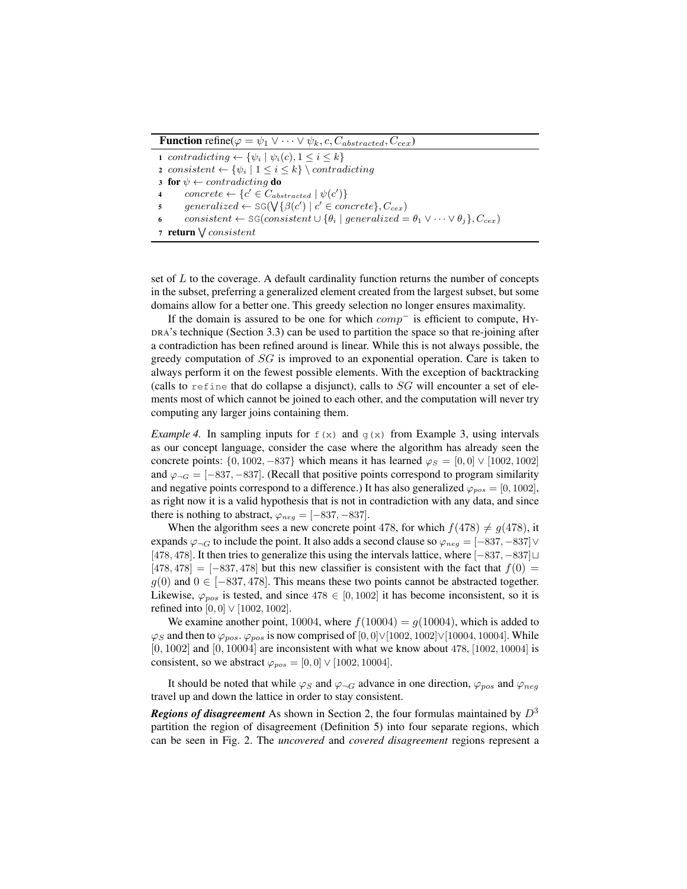**Function** refine( $\varphi = \psi_1 \vee \cdots \vee \psi_k$ , c,  $C_{abstracted}$ ,  $C_{cex}$ )

1 contradicting  $\leftarrow \{\psi_i \mid \psi_i(c), 1 \leq i \leq k\}$ 2 consistent  $\leftarrow \{\psi_i \mid 1 \leq i \leq k\} \setminus contradicting$ 3 for  $\psi \leftarrow contradicting$  do 4 concrete  $\leftarrow \{c' \in C_{abstracted} \mid \psi(c')\}$  ${\sf s}$  generalized  $\leftarrow$  SG( $\bigvee {\{\beta(c') \mid c' \in concrete\}}$ ,  $C_{cex}$ ) consistent ← SG(consistent  $\cup$  { $\theta_i$  | generalized =  $\theta_1 \vee \cdots \vee \theta_i$ },  $C_{cex}$ ) 7 return  $\bigvee consistent$ 

set of  $L$  to the coverage. A default cardinality function returns the number of concepts in the subset, preferring a generalized element created from the largest subset, but some domains allow for a better one. This greedy selection no longer ensures maximality.

If the domain is assured to be one for which  $comp^-$  is efficient to compute, HY-DRA's technique (Section 3.3) can be used to partition the space so that re-joining after a contradiction has been refined around is linear. While this is not always possible, the greedy computation of  $SG$  is improved to an exponential operation. Care is taken to always perform it on the fewest possible elements. With the exception of backtracking (calls to refine that do collapse a disjunct), calls to  $SG$  will encounter a set of elements most of which cannot be joined to each other, and the computation will never try computing any larger joins containing them.

*Example 4.* In sampling inputs for  $f(x)$  and  $g(x)$  from Example 3, using intervals as our concept language, consider the case where the algorithm has already seen the concrete points:  $\{0, 1002, -837\}$  which means it has learned  $\varphi_S = [0, 0] \vee [1002, 1002]$ and  $\varphi_{\neg G} = [-837, -837]$ . (Recall that positive points correspond to program similarity and negative points correspond to a difference.) It has also generalized  $\varphi_{pos} = [0, 1002]$ , as right now it is a valid hypothesis that is not in contradiction with any data, and since there is nothing to abstract,  $\varphi_{neg} = [-837, -837]$ .

When the algorithm sees a new concrete point 478, for which  $f(478) \neq g(478)$ , it expands  $\varphi_{\neg G}$  to include the point. It also adds a second clause so  $\varphi_{neg} = [-837, -837] \vee$ [478, 478]. It then tries to generalize this using the intervals lattice, where [−837, −837]  $[478, 478] = [-837, 478]$  but this new classifier is consistent with the fact that  $f(0) =$  $g(0)$  and  $0 \in [-837, 478]$ . This means these two points cannot be abstracted together. Likewise,  $\varphi_{pos}$  is tested, and since 478  $\in [0, 1002]$  it has become inconsistent, so it is refined into  $[0, 0] \vee [1002, 1002]$ .

We examine another point, 10004, where  $f(10004) = g(10004)$ , which is added to  $\varphi_S$  and then to  $\varphi_{pos}$ .  $\varphi_{pos}$  is now comprised of [0,0] $\vee$ [1002, 1002] $\vee$ [10004, 10004]. While  $[0, 1002]$  and  $[0, 10004]$  are inconsistent with what we know about 478,  $[1002, 10004]$  is consistent, so we abstract  $\varphi_{pos} = [0, 0] \vee [1002, 10004]$ .

It should be noted that while  $\varphi_S$  and  $\varphi_{\neg G}$  advance in one direction,  $\varphi_{pos}$  and  $\varphi_{neg}$ travel up and down the lattice in order to stay consistent.

*Regions of disagreement* As shown in Section 2, the four formulas maintained by  $D^3$ partition the region of disagreement (Definition 5) into four separate regions, which can be seen in Fig. 2. The *uncovered* and *covered disagreement* regions represent a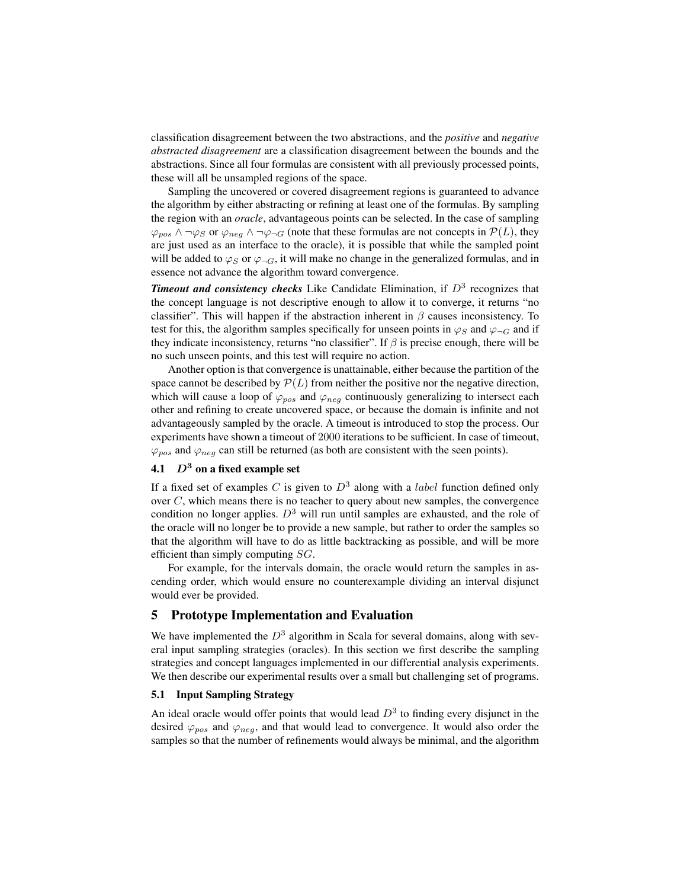classification disagreement between the two abstractions, and the *positive* and *negative abstracted disagreement* are a classification disagreement between the bounds and the abstractions. Since all four formulas are consistent with all previously processed points, these will all be unsampled regions of the space.

Sampling the uncovered or covered disagreement regions is guaranteed to advance the algorithm by either abstracting or refining at least one of the formulas. By sampling the region with an *oracle*, advantageous points can be selected. In the case of sampling  $\varphi_{pos} \wedge \neg \varphi_S$  or  $\varphi_{neg} \wedge \neg \varphi_{\neg G}$  (note that these formulas are not concepts in  $\mathcal{P}(L)$ , they are just used as an interface to the oracle), it is possible that while the sampled point will be added to  $\varphi_S$  or  $\varphi_{\neg G}$ , it will make no change in the generalized formulas, and in essence not advance the algorithm toward convergence.

**Timeout and consistency checks** Like Candidate Elimination, if  $D<sup>3</sup>$  recognizes that the concept language is not descriptive enough to allow it to converge, it returns "no classifier". This will happen if the abstraction inherent in  $\beta$  causes inconsistency. To test for this, the algorithm samples specifically for unseen points in  $\varphi_S$  and  $\varphi_{\neg G}$  and if they indicate inconsistency, returns "no classifier". If  $\beta$  is precise enough, there will be no such unseen points, and this test will require no action.

Another option is that convergence is unattainable, either because the partition of the space cannot be described by  $P(L)$  from neither the positive nor the negative direction, which will cause a loop of  $\varphi_{pos}$  and  $\varphi_{neg}$  continuously generalizing to intersect each other and refining to create uncovered space, or because the domain is infinite and not advantageously sampled by the oracle. A timeout is introduced to stop the process. Our experiments have shown a timeout of 2000 iterations to be sufficient. In case of timeout,  $\varphi_{pos}$  and  $\varphi_{neg}$  can still be returned (as both are consistent with the seen points).

## 4.1  $D^3$  on a fixed example set

If a fixed set of examples C is given to  $D^3$  along with a *label* function defined only over  $C$ , which means there is no teacher to query about new samples, the convergence condition no longer applies.  $D<sup>3</sup>$  will run until samples are exhausted, and the role of the oracle will no longer be to provide a new sample, but rather to order the samples so that the algorithm will have to do as little backtracking as possible, and will be more efficient than simply computing SG.

For example, for the intervals domain, the oracle would return the samples in ascending order, which would ensure no counterexample dividing an interval disjunct would ever be provided.

## 5 Prototype Implementation and Evaluation

We have implemented the  $D^3$  algorithm in Scala for several domains, along with several input sampling strategies (oracles). In this section we first describe the sampling strategies and concept languages implemented in our differential analysis experiments. We then describe our experimental results over a small but challenging set of programs.

## 5.1 Input Sampling Strategy

An ideal oracle would offer points that would lead  $D<sup>3</sup>$  to finding every disjunct in the desired  $\varphi_{pos}$  and  $\varphi_{neg}$ , and that would lead to convergence. It would also order the samples so that the number of refinements would always be minimal, and the algorithm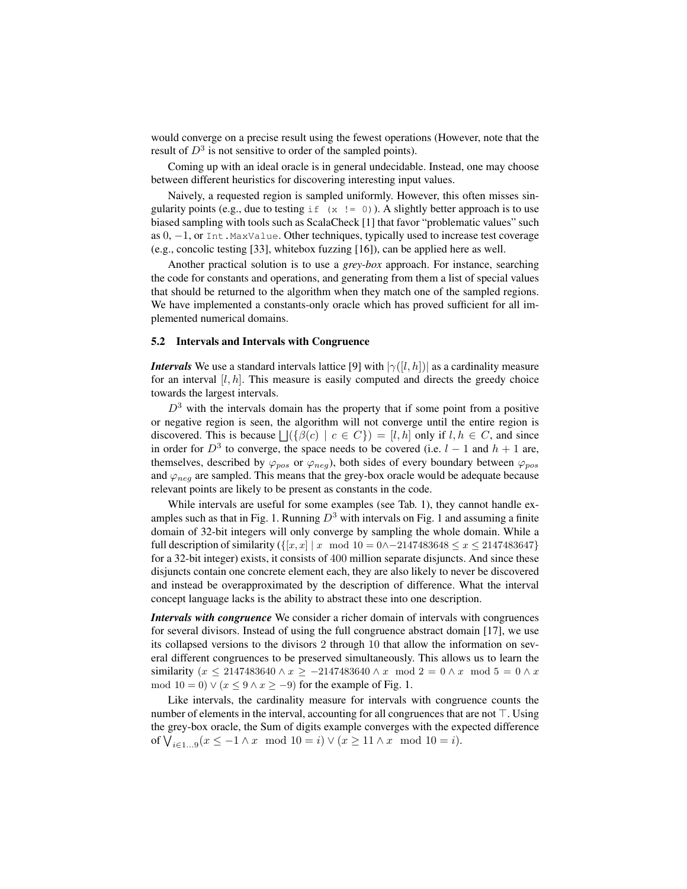would converge on a precise result using the fewest operations (However, note that the result of  $D^3$  is not sensitive to order of the sampled points).

Coming up with an ideal oracle is in general undecidable. Instead, one may choose between different heuristics for discovering interesting input values.

Naively, a requested region is sampled uniformly. However, this often misses singularity points (e.g., due to testing  $if(x := 0)$ ). A slightly better approach is to use biased sampling with tools such as ScalaCheck [1] that favor "problematic values" such as 0, -1, or Int.MaxValue. Other techniques, typically used to increase test coverage (e.g., concolic testing [33], whitebox fuzzing [16]), can be applied here as well.

Another practical solution is to use a *grey-box* approach. For instance, searching the code for constants and operations, and generating from them a list of special values that should be returned to the algorithm when they match one of the sampled regions. We have implemented a constants-only oracle which has proved sufficient for all implemented numerical domains.

#### 5.2 Intervals and Intervals with Congruence

*Intervals* We use a standard intervals lattice [9] with  $|\gamma([l, h])|$  as a cardinality measure for an interval  $[l, h]$ . This measure is easily computed and directs the greedy choice towards the largest intervals.

 $D<sup>3</sup>$  with the intervals domain has the property that if some point from a positive or negative region is seen, the algorithm will not converge until the entire region is discovered. This is because  $\bigcup (\{\beta(c) \mid c \in C\}) = [l, h]$  only if  $l, h \in C$ , and since in order for  $D^3$  to converge, the space needs to be covered (i.e.  $l-1$  and  $h+1$  are, themselves, described by  $\varphi_{pos}$  or  $\varphi_{neg}$ ), both sides of every boundary between  $\varphi_{pos}$ and  $\varphi_{\text{neq}}$  are sampled. This means that the grey-box oracle would be adequate because relevant points are likely to be present as constants in the code.

While intervals are useful for some examples (see Tab. 1), they cannot handle examples such as that in Fig. 1. Running  $D^3$  with intervals on Fig. 1 and assuming a finite domain of 32-bit integers will only converge by sampling the whole domain. While a full description of similarity ( $\{[x, x] | x \mod 10 = 0 \land -2147483648 \le x \le 2147483647\}$ for a 32-bit integer) exists, it consists of 400 million separate disjuncts. And since these disjuncts contain one concrete element each, they are also likely to never be discovered and instead be overapproximated by the description of difference. What the interval concept language lacks is the ability to abstract these into one description.

*Intervals with congruence* We consider a richer domain of intervals with congruences for several divisors. Instead of using the full congruence abstract domain [17], we use its collapsed versions to the divisors 2 through 10 that allow the information on several different congruences to be preserved simultaneously. This allows us to learn the similarity (x  $\leq$  2147483640 ∧ x ≥ −2147483640 ∧ x mod 2 = 0 ∧ x mod 5 = 0 ∧ x mod 10 = 0)  $\vee$  ( $x \le 9 \wedge x \ge -9$ ) for the example of Fig. 1.

Like intervals, the cardinality measure for intervals with congruence counts the number of elements in the interval, accounting for all congruences that are not  $\top$ . Using the grey-box oracle, the Sum of digits example converges with the expected difference of  $\bigvee_{i \in 1...9} (x \leq -1 \land x \mod 10 = i) \lor (x \geq 11 \land x \mod 10 = i).$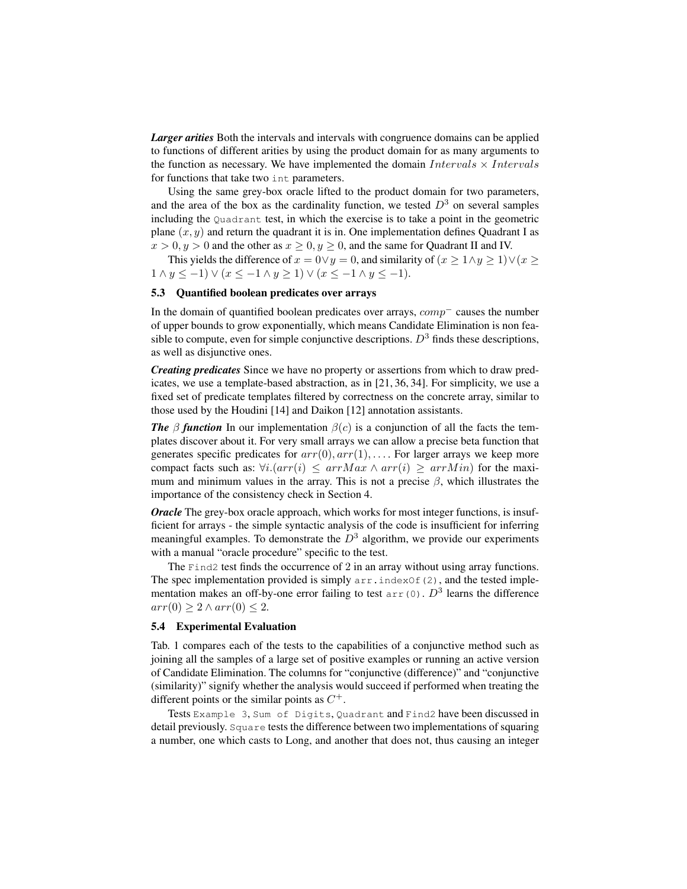*Larger arities* Both the intervals and intervals with congruence domains can be applied to functions of different arities by using the product domain for as many arguments to the function as necessary. We have implemented the domain  $Intervals \times Intervals$ for functions that take two int parameters.

Using the same grey-box oracle lifted to the product domain for two parameters, and the area of the box as the cardinality function, we tested  $D<sup>3</sup>$  on several samples including the Quadrant test, in which the exercise is to take a point in the geometric plane  $(x, y)$  and return the quadrant it is in. One implementation defines Quadrant I as  $x > 0, y > 0$  and the other as  $x \ge 0, y \ge 0$ , and the same for Quadrant II and IV.

This yields the difference of  $x = 0 \lor y = 0$ , and similarity of  $(x \ge 1 \land y \ge 1) \lor (x \ge 1)$  $1 \wedge y \leq -1$ )  $\vee (x \leq -1 \wedge y \geq 1)$   $\vee (x \leq -1 \wedge y \leq -1)$ .

#### 5.3 Quantified boolean predicates over arrays

In the domain of quantified boolean predicates over arrays, comp<sup>−</sup> causes the number of upper bounds to grow exponentially, which means Candidate Elimination is non feasible to compute, even for simple conjunctive descriptions.  $D<sup>3</sup>$  finds these descriptions, as well as disjunctive ones.

*Creating predicates* Since we have no property or assertions from which to draw predicates, we use a template-based abstraction, as in [21, 36, 34]. For simplicity, we use a fixed set of predicate templates filtered by correctness on the concrete array, similar to those used by the Houdini [14] and Daikon [12] annotation assistants.

*The* β *function* In our implementation  $\beta(c)$  is a conjunction of all the facts the templates discover about it. For very small arrays we can allow a precise beta function that generates specific predicates for  $arr(0)$ ,  $arr(1)$ , ... . For larger arrays we keep more compact facts such as:  $\forall i. (arr(i) \leq arrMax \land arr(i) \geq arrMin)$  for the maximum and minimum values in the array. This is not a precise  $\beta$ , which illustrates the importance of the consistency check in Section 4.

*Oracle* The grey-box oracle approach, which works for most integer functions, is insufficient for arrays - the simple syntactic analysis of the code is insufficient for inferring meaningful examples. To demonstrate the  $D<sup>3</sup>$  algorithm, we provide our experiments with a manual "oracle procedure" specific to the test.

The Find2 test finds the occurrence of 2 in an array without using array functions. The spec implementation provided is simply  $arr$ . indexOf(2), and the tested implementation makes an off-by-one error failing to test  $\text{arr}(0)$ .  $D^3$  learns the difference  $arr(0) > 2 \wedge arr(0) < 2.$ 

#### 5.4 Experimental Evaluation

Tab. 1 compares each of the tests to the capabilities of a conjunctive method such as joining all the samples of a large set of positive examples or running an active version of Candidate Elimination. The columns for "conjunctive (difference)" and "conjunctive (similarity)" signify whether the analysis would succeed if performed when treating the different points or the similar points as  $C^+$ .

Tests Example 3, Sum of Digits, Quadrant and Find2 have been discussed in detail previously. Square tests the difference between two implementations of squaring a number, one which casts to Long, and another that does not, thus causing an integer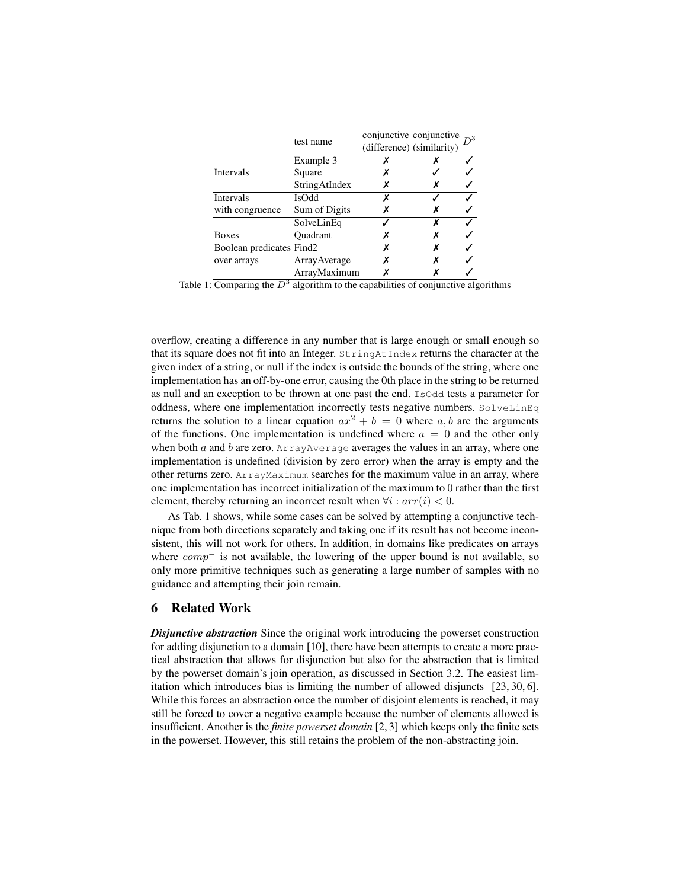|                          | test name       | conjunctive conjunctive<br>(difference) (similarity) |  |
|--------------------------|-----------------|------------------------------------------------------|--|
|                          | Example 3       |                                                      |  |
| <b>Intervals</b>         | Square          |                                                      |  |
|                          | StringAtIndex   |                                                      |  |
| <b>Intervals</b>         | <b>IsOdd</b>    |                                                      |  |
| with congruence          | Sum of Digits   |                                                      |  |
|                          | SolveLinEq      |                                                      |  |
| <b>Boxes</b>             | <b>Ouadrant</b> |                                                      |  |
| Boolean predicates Find2 |                 |                                                      |  |
| over arrays              | ArrayAverage    |                                                      |  |
|                          | ArrayMaximum    |                                                      |  |

Table 1: Comparing the  $D^3$  algorithm to the capabilities of conjunctive algorithms

overflow, creating a difference in any number that is large enough or small enough so that its square does not fit into an Integer. StringAtIndex returns the character at the given index of a string, or null if the index is outside the bounds of the string, where one implementation has an off-by-one error, causing the 0th place in the string to be returned as null and an exception to be thrown at one past the end. IsOdd tests a parameter for oddness, where one implementation incorrectly tests negative numbers. SolveLinEq returns the solution to a linear equation  $ax^2 + b = 0$  where a, b are the arguments of the functions. One implementation is undefined where  $a = 0$  and the other only when both  $\alpha$  and  $\beta$  are zero. ArrayAverage averages the values in an array, where one implementation is undefined (division by zero error) when the array is empty and the other returns zero. ArrayMaximum searches for the maximum value in an array, where one implementation has incorrect initialization of the maximum to 0 rather than the first element, thereby returning an incorrect result when  $\forall i : arr(i) < 0$ .

As Tab. 1 shows, while some cases can be solved by attempting a conjunctive technique from both directions separately and taking one if its result has not become inconsistent, this will not work for others. In addition, in domains like predicates on arrays where  $comp^-$  is not available, the lowering of the upper bound is not available, so only more primitive techniques such as generating a large number of samples with no guidance and attempting their join remain.

## 6 Related Work

*Disjunctive abstraction* Since the original work introducing the powerset construction for adding disjunction to a domain [10], there have been attempts to create a more practical abstraction that allows for disjunction but also for the abstraction that is limited by the powerset domain's join operation, as discussed in Section 3.2. The easiest limitation which introduces bias is limiting the number of allowed disjuncts [23, 30, 6]. While this forces an abstraction once the number of disjoint elements is reached, it may still be forced to cover a negative example because the number of elements allowed is insufficient. Another is the *finite powerset domain* [2, 3] which keeps only the finite sets in the powerset. However, this still retains the problem of the non-abstracting join.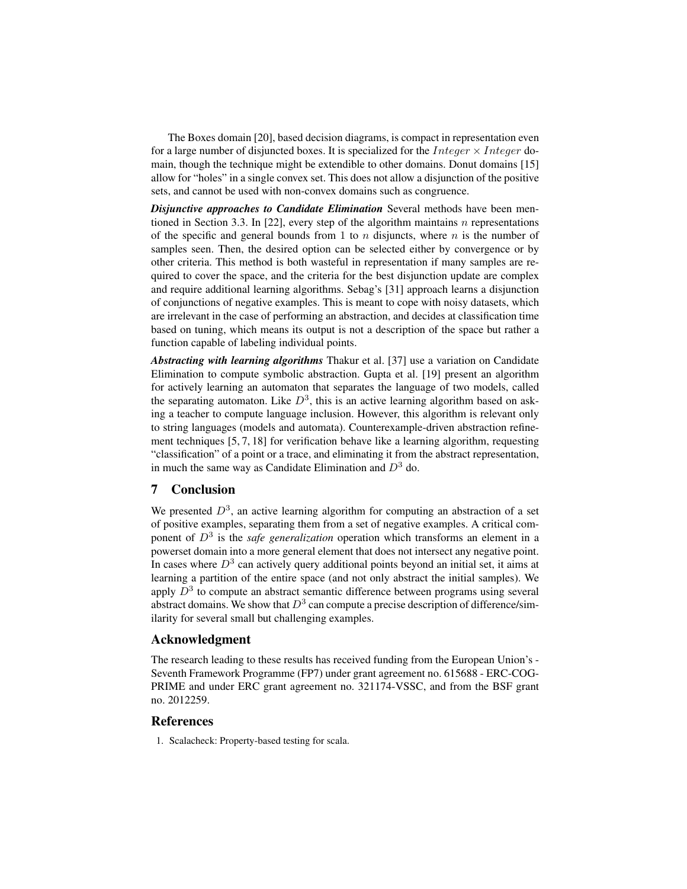The Boxes domain [20], based decision diagrams, is compact in representation even for a large number of disjuncted boxes. It is specialized for the *Integer*  $\times$  *Integer* domain, though the technique might be extendible to other domains. Donut domains [15] allow for "holes" in a single convex set. This does not allow a disjunction of the positive sets, and cannot be used with non-convex domains such as congruence.

*Disjunctive approaches to Candidate Elimination* Several methods have been mentioned in Section 3.3. In [22], every step of the algorithm maintains  $n$  representations of the specific and general bounds from 1 to  $n$  disjuncts, where  $n$  is the number of samples seen. Then, the desired option can be selected either by convergence or by other criteria. This method is both wasteful in representation if many samples are required to cover the space, and the criteria for the best disjunction update are complex and require additional learning algorithms. Sebag's [31] approach learns a disjunction of conjunctions of negative examples. This is meant to cope with noisy datasets, which are irrelevant in the case of performing an abstraction, and decides at classification time based on tuning, which means its output is not a description of the space but rather a function capable of labeling individual points.

*Abstracting with learning algorithms* Thakur et al. [37] use a variation on Candidate Elimination to compute symbolic abstraction. Gupta et al. [19] present an algorithm for actively learning an automaton that separates the language of two models, called the separating automaton. Like  $D^3$ , this is an active learning algorithm based on asking a teacher to compute language inclusion. However, this algorithm is relevant only to string languages (models and automata). Counterexample-driven abstraction refinement techniques [5, 7, 18] for verification behave like a learning algorithm, requesting "classification" of a point or a trace, and eliminating it from the abstract representation, in much the same way as Candidate Elimination and  $D<sup>3</sup>$  do.

## 7 Conclusion

We presented  $D^3$ , an active learning algorithm for computing an abstraction of a set of positive examples, separating them from a set of negative examples. A critical component of D<sup>3</sup> is the *safe generalization* operation which transforms an element in a powerset domain into a more general element that does not intersect any negative point. In cases where  $D<sup>3</sup>$  can actively query additional points beyond an initial set, it aims at learning a partition of the entire space (and not only abstract the initial samples). We apply  $D^3$  to compute an abstract semantic difference between programs using several abstract domains. We show that  $D^3$  can compute a precise description of difference/similarity for several small but challenging examples.

#### Acknowledgment

The research leading to these results has received funding from the European Union's - Seventh Framework Programme (FP7) under grant agreement no. 615688 - ERC-COG-PRIME and under ERC grant agreement no. 321174-VSSC, and from the BSF grant no. 2012259.

## **References**

1. Scalacheck: Property-based testing for scala.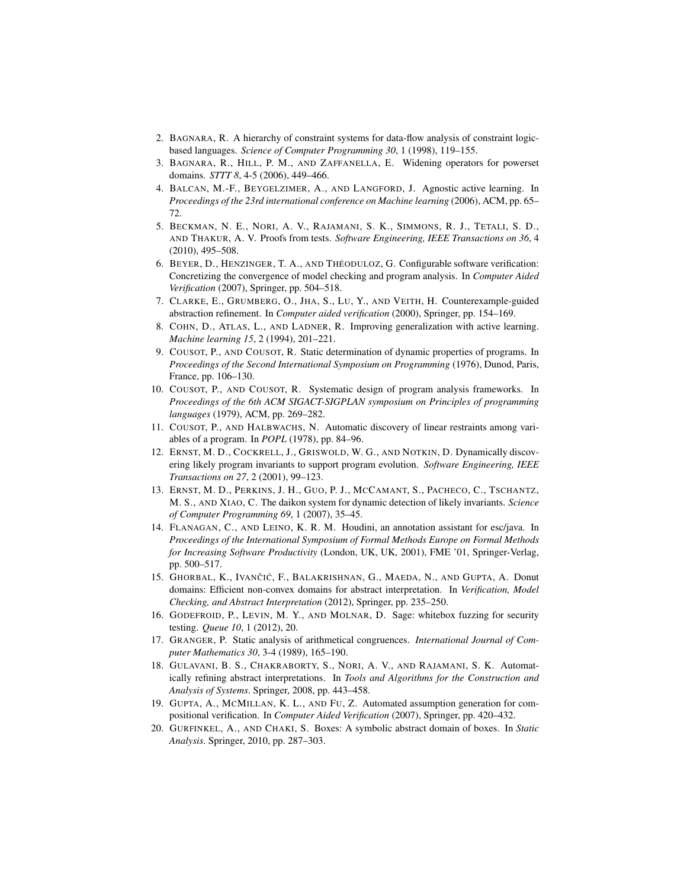- 2. BAGNARA, R. A hierarchy of constraint systems for data-flow analysis of constraint logicbased languages. *Science of Computer Programming 30*, 1 (1998), 119–155.
- 3. BAGNARA, R., HILL, P. M., AND ZAFFANELLA, E. Widening operators for powerset domains. *STTT 8*, 4-5 (2006), 449–466.
- 4. BALCAN, M.-F., BEYGELZIMER, A., AND LANGFORD, J. Agnostic active learning. In *Proceedings of the 23rd international conference on Machine learning* (2006), ACM, pp. 65– 72.
- 5. BECKMAN, N. E., NORI, A. V., RAJAMANI, S. K., SIMMONS, R. J., TETALI, S. D., AND THAKUR, A. V. Proofs from tests. *Software Engineering, IEEE Transactions on 36*, 4 (2010), 495–508.
- 6. BEYER, D., HENZINGER, T. A., AND THÉODULOZ, G. Configurable software verification: Concretizing the convergence of model checking and program analysis. In *Computer Aided Verification* (2007), Springer, pp. 504–518.
- 7. CLARKE, E., GRUMBERG, O., JHA, S., LU, Y., AND VEITH, H. Counterexample-guided abstraction refinement. In *Computer aided verification* (2000), Springer, pp. 154–169.
- 8. COHN, D., ATLAS, L., AND LADNER, R. Improving generalization with active learning. *Machine learning 15*, 2 (1994), 201–221.
- 9. COUSOT, P., AND COUSOT, R. Static determination of dynamic properties of programs. In *Proceedings of the Second International Symposium on Programming* (1976), Dunod, Paris, France, pp. 106–130.
- 10. COUSOT, P., AND COUSOT, R. Systematic design of program analysis frameworks. In *Proceedings of the 6th ACM SIGACT-SIGPLAN symposium on Principles of programming languages* (1979), ACM, pp. 269–282.
- 11. COUSOT, P., AND HALBWACHS, N. Automatic discovery of linear restraints among variables of a program. In *POPL* (1978), pp. 84–96.
- 12. ERNST, M. D., COCKRELL, J., GRISWOLD, W. G., AND NOTKIN, D. Dynamically discovering likely program invariants to support program evolution. *Software Engineering, IEEE Transactions on 27*, 2 (2001), 99–123.
- 13. ERNST, M. D., PERKINS, J. H., GUO, P. J., MCCAMANT, S., PACHECO, C., TSCHANTZ, M. S., AND XIAO, C. The daikon system for dynamic detection of likely invariants. *Science of Computer Programming 69*, 1 (2007), 35–45.
- 14. FLANAGAN, C., AND LEINO, K. R. M. Houdini, an annotation assistant for esc/java. In *Proceedings of the International Symposium of Formal Methods Europe on Formal Methods for Increasing Software Productivity* (London, UK, UK, 2001), FME '01, Springer-Verlag, pp. 500–517.
- 15. GHORBAL, K., IVANČIĆ, F., BALAKRISHNAN, G., MAEDA, N., AND GUPTA, A. Donut domains: Efficient non-convex domains for abstract interpretation. In *Verification, Model Checking, and Abstract Interpretation* (2012), Springer, pp. 235–250.
- 16. GODEFROID, P., LEVIN, M. Y., AND MOLNAR, D. Sage: whitebox fuzzing for security testing. *Queue 10*, 1 (2012), 20.
- 17. GRANGER, P. Static analysis of arithmetical congruences. *International Journal of Computer Mathematics 30*, 3-4 (1989), 165–190.
- 18. GULAVANI, B. S., CHAKRABORTY, S., NORI, A. V., AND RAJAMANI, S. K. Automatically refining abstract interpretations. In *Tools and Algorithms for the Construction and Analysis of Systems*. Springer, 2008, pp. 443–458.
- 19. GUPTA, A., MCMILLAN, K. L., AND FU, Z. Automated assumption generation for compositional verification. In *Computer Aided Verification* (2007), Springer, pp. 420–432.
- 20. GURFINKEL, A., AND CHAKI, S. Boxes: A symbolic abstract domain of boxes. In *Static Analysis*. Springer, 2010, pp. 287–303.